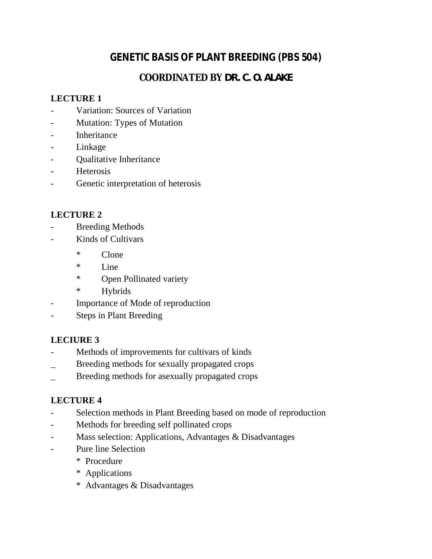# **GENETIC BASIS OF PLANT BREEDING (PBS 504)**

# **COORDINATED BY DR. C. O. ALAKE**

# **LECTURE 1**

- Variation: Sources of Variation
- Mutation: Types of Mutation
- **Inheritance**
- Linkage
- Qualitative Inheritance
- **Heterosis**
- Genetic interpretation of heterosis

## **LECTURE 2**

- **Breeding Methods**
- Kinds of Cultivars
	- \* Clone
	- \* Line
	- \* Open Pollinated variety
	- \* Hybrids
- Importance of Mode of reproduction
- Steps in Plant Breeding

#### **LECIURE 3**

- Methods of improvements for cultivars of kinds
- \_ Breeding methods for sexually propagated crops
- Breeding methods for asexually propagated crops

#### **LECTURE 4**

- Selection methods in Plant Breeding based on mode of reproduction
- Methods for breeding self pollinated crops
- Mass selection: Applications, Advantages & Disadvantages
- Pure line Selection
	- \* Procedure
	- \* Applications
	- \* Advantages & Disadvantages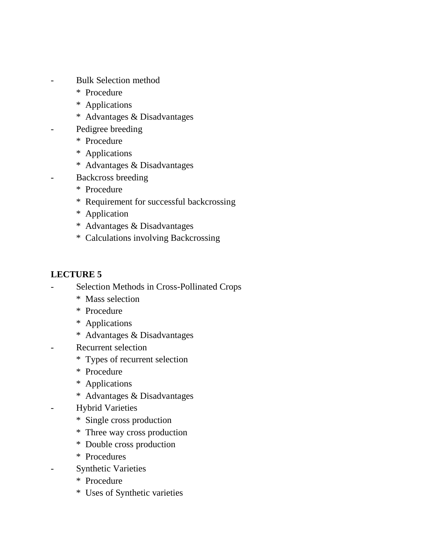- Bulk Selection method
	- \* Procedure
	- \* Applications
	- \* Advantages & Disadvantages
- Pedigree breeding
	- \* Procedure
	- \* Applications
	- \* Advantages & Disadvantages
- Backcross breeding
	- \* Procedure
	- \* Requirement for successful backcrossing
	- \* Application
	- \* Advantages & Disadvantages
	- \* Calculations involving Backcrossing

## **LECTURE 5**

- Selection Methods in Cross-Pollinated Crops
	- \* Mass selection
	- \* Procedure
	- \* Applications
	- \* Advantages & Disadvantages
- Recurrent selection
	- \* Types of recurrent selection
	- \* Procedure
	- \* Applications
	- \* Advantages & Disadvantages
- Hybrid Varieties
	- \* Single cross production
	- \* Three way cross production
	- \* Double cross production
	- \* Procedures
- **Synthetic Varieties** 
	- \* Procedure
	- \* Uses of Synthetic varieties